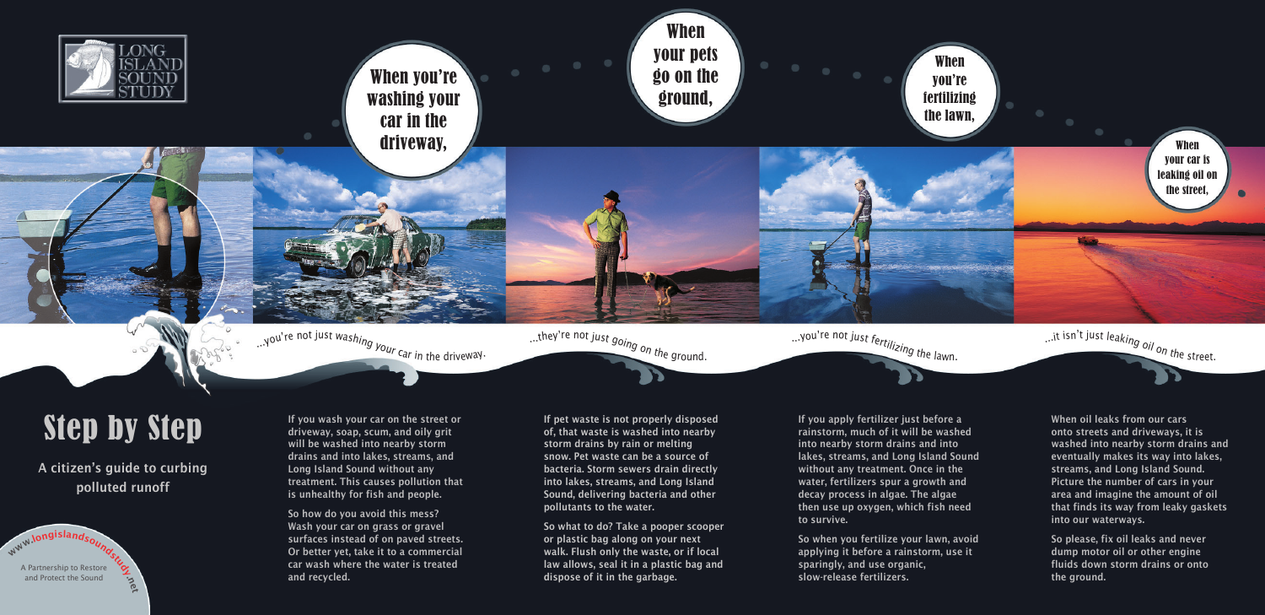www.longislandsoundstudy.com A Partnership to Restore and Protect the Sound

If you wash your car on the street or driveway, soap, scum, and oily grit will be washed into nearby storm drains and into lakes, streams, and Long Island Sound without any treatment. This causes pollution that is unhealthy for fish and people.

So how do you avoid this mess? Wash your car on grass or gravel surfaces instead of on paved streets. Or better yet, take it to a commercial car wash where the water is treated and recycled.

If pet waste is not properly disposed of, that waste is washed into nearby storm drains by rain or melting snow. Pet waste can be a source of bacteria. Storm sewers drain directly into lakes, streams, and Long Island Sound, delivering bacteria and other pollutants to the water.

So what to do? Take a pooper scooper or plastic bag along on your next walk. Flush only the waste, or if local law allows, seal it in a plastic bag and dispose of it in the garbage.

If you apply fertilizer just before a rainstorm, much of it will be washed into nearby storm drains and into lakes, streams, and Long Island Sound without any treatment. Once in the water, fertilizers spur a growth and decay process in algae. The algae then use up oxygen, which fish need to survive.

So when you fertilize your lawn, avoid applying it before a rainstorm, use it sparingly, and use organic, slow-release fertilizers.

When oil leaks from our cars onto streets and driveways, it is washed into nearby storm drains and eventually makes its way into lakes, streams, and Long Island Sound. Picture the number of cars in your area and imagine the amount of oil that finds its way from leaky gaskets into our waterways.

So please, fix oil leaks and never dump motor oil or other engine fluids down storm drains or onto the ground.



# Step by Step

A citizen's guide to curbing polluted runoff